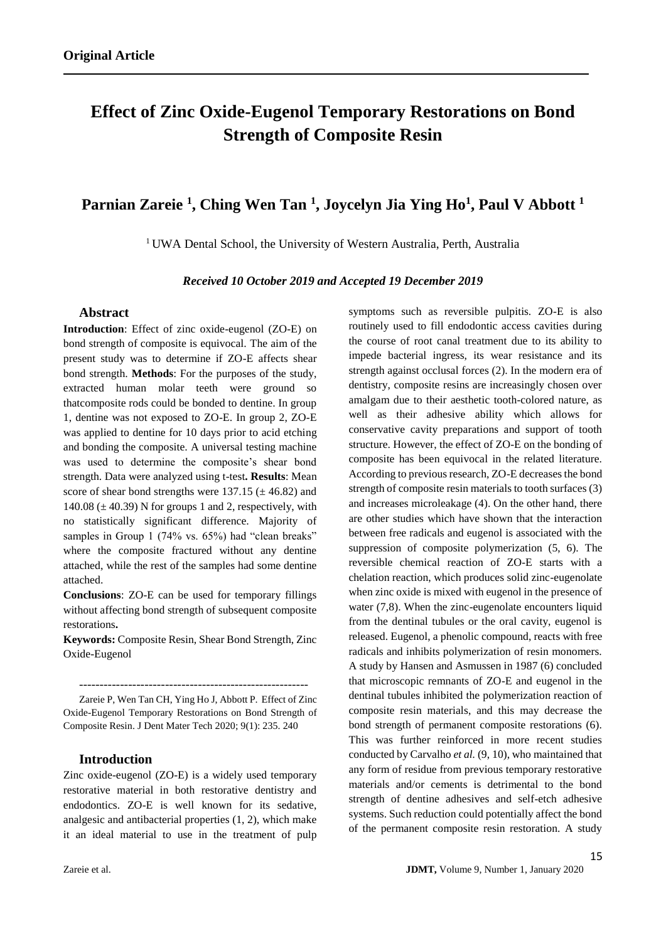# **Effect of Zinc Oxide-Eugenol Temporary Restorations on Bond Strength of Composite Resin**

# **Parnian Zareie <sup>1</sup> , Ching Wen Tan <sup>1</sup> , Joycelyn Jia Ying Ho<sup>1</sup> , Paul V Abbott <sup>1</sup>**

<sup>1</sup> UWA Dental School, the University of Western Australia, Perth, Australia

*Received 10 October 2019 and Accepted 19 December 2019*

#### **Abstract**

**Introduction**: Effect of zinc oxide-eugenol (ZO-E) on bond strength of composite is equivocal. The aim of the present study was to determine if ZO-E affects shear bond strength. **Methods**: For the purposes of the study, extracted human molar teeth were ground so thatcomposite rods could be bonded to dentine. In group 1, dentine was not exposed to ZO-E. In group 2, ZO-E was applied to dentine for 10 days prior to acid etching and bonding the composite. A universal testing machine was used to determine the composite's shear bond strength. Data were analyzed using t-test**. Results**: Mean score of shear bond strengths were  $137.15 \ (\pm 46.82)$  and 140.08 ( $\pm$  40.39) N for groups 1 and 2, respectively, with no statistically significant difference. Majority of samples in Group 1 (74% vs. 65%) had "clean breaks" where the composite fractured without any dentine attached, while the rest of the samples had some dentine attached.

**Conclusions**: ZO-E can be used for temporary fillings without affecting bond strength of subsequent composite restorations**.**

**Keywords:** Composite Resin, Shear Bond Strength, Zinc Oxide-Eugenol

--------------------------------------------------------

Zareie P, Wen Tan CH, Ying Ho J, Abbott P. Effect of Zinc Oxide-Eugenol Temporary Restorations on Bond Strength of Composite Resin. J Dent Mater Tech 2020; 9(1): 235. 240

# **Introduction**

Zinc oxide-eugenol (ZO-E) is a widely used temporary restorative material in both restorative dentistry and endodontics. ZO-E is well known for its sedative, analgesic and antibacterial properties (1, 2), which make it an ideal material to use in the treatment of pulp symptoms such as reversible pulpitis. ZO-E is also routinely used to fill endodontic access cavities during the course of root canal treatment due to its ability to impede bacterial ingress, its wear resistance and its strength against occlusal forces (2). In the modern era of dentistry, composite resins are increasingly chosen over amalgam due to their aesthetic tooth-colored nature, as well as their adhesive ability which allows for conservative cavity preparations and support of tooth structure. However, the effect of ZO-E on the bonding of composite has been equivocal in the related literature. According to previous research, ZO-E decreases the bond strength of composite resin materials to tooth surfaces (3) and increases microleakage (4). On the other hand, there are other studies which have shown that the interaction between free radicals and eugenol is associated with the suppression of composite polymerization (5, 6). The reversible chemical reaction of ZO-E starts with a chelation reaction, which produces solid zinc-eugenolate when zinc oxide is mixed with eugenol in the presence of water (7,8). When the zinc-eugenolate encounters liquid from the dentinal tubules or the oral cavity, eugenol is released. Eugenol, a phenolic compound, reacts with free radicals and inhibits polymerization of resin monomers. A study by Hansen and Asmussen in 1987 (6) concluded that microscopic remnants of ZO-E and eugenol in the dentinal tubules inhibited the polymerization reaction of composite resin materials, and this may decrease the bond strength of permanent composite restorations (6). This was further reinforced in more recent studies conducted by Carvalho *et al.* (9, 10), who maintained that any form of residue from previous temporary restorative materials and/or cements is detrimental to the bond strength of dentine adhesives and self-etch adhesive systems. Such reduction could potentially affect the bond of the permanent composite resin restoration. A study

15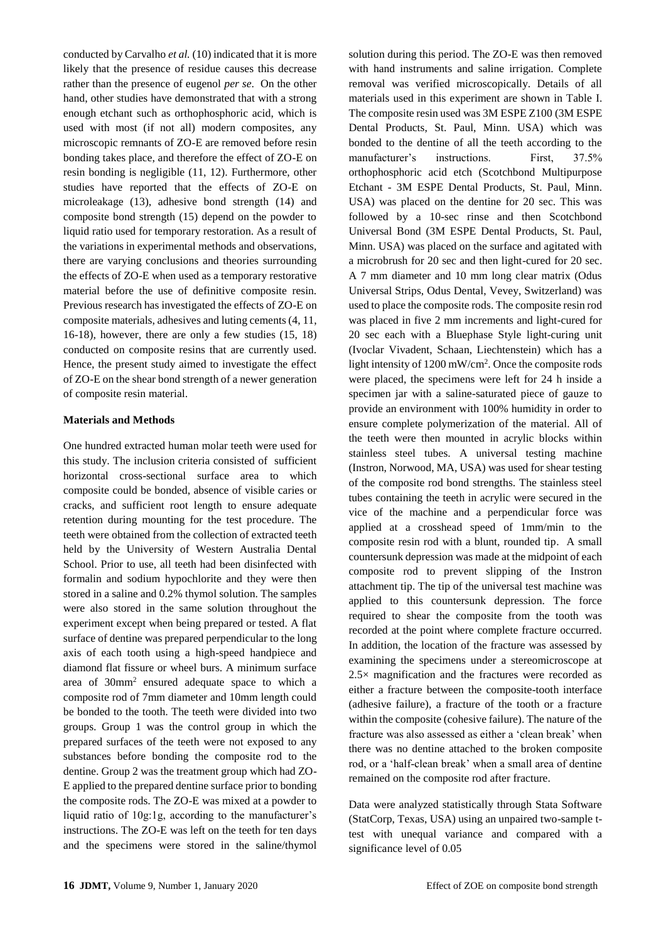conducted by Carvalho *et al.* (10) indicated that it is more likely that the presence of residue causes this decrease rather than the presence of eugenol *per se*. On the other hand, other studies have demonstrated that with a strong enough etchant such as orthophosphoric acid, which is used with most (if not all) modern composites, any microscopic remnants of ZO-E are removed before resin bonding takes place, and therefore the effect of ZO-E on resin bonding is negligible (11, 12). Furthermore, other studies have reported that the effects of ZO-E on microleakage (13), adhesive bond strength (14) and composite bond strength (15) depend on the powder to liquid ratio used for temporary restoration. As a result of the variations in experimental methods and observations, there are varying conclusions and theories surrounding the effects of ZO-E when used as a temporary restorative material before the use of definitive composite resin. Previous research has investigated the effects of ZO-E on composite materials, adhesives and luting cements (4, 11, 16-18), however, there are only a few studies (15, 18) conducted on composite resins that are currently used. Hence, the present study aimed to investigate the effect of ZO-E on the shear bond strength of a newer generation of composite resin material.

### **Materials and Methods**

One hundred extracted human molar teeth were used for this study. The inclusion criteria consisted of sufficient horizontal cross-sectional surface area to which composite could be bonded, absence of visible caries or cracks, and sufficient root length to ensure adequate retention during mounting for the test procedure. The teeth were obtained from the collection of extracted teeth held by the University of Western Australia Dental School. Prior to use, all teeth had been disinfected with formalin and sodium hypochlorite and they were then stored in a saline and 0.2% thymol solution. The samples were also stored in the same solution throughout the experiment except when being prepared or tested. A flat surface of dentine was prepared perpendicular to the long axis of each tooth using a high-speed handpiece and diamond flat fissure or wheel burs. A minimum surface area of 30mm<sup>2</sup> ensured adequate space to which a composite rod of 7mm diameter and 10mm length could be bonded to the tooth. The teeth were divided into two groups. Group 1 was the control group in which the prepared surfaces of the teeth were not exposed to any substances before bonding the composite rod to the dentine. Group 2 was the treatment group which had ZO-E applied to the prepared dentine surface prior to bonding the composite rods. The ZO-E was mixed at a powder to liquid ratio of 10g:1g, according to the manufacturer's instructions. The ZO-E was left on the teeth for ten days and the specimens were stored in the saline/thymol

solution during this period. The ZO-E was then removed with hand instruments and saline irrigation. Complete removal was verified microscopically. Details of all materials used in this experiment are shown in Table I. The composite resin used was 3M ESPE Z100 (3M ESPE Dental Products, St. Paul, Minn. USA) which was bonded to the dentine of all the teeth according to the manufacturer's instructions First 37.5% orthophosphoric acid etch (Scotchbond Multipurpose Etchant - 3M ESPE Dental Products, St. Paul, Minn. USA) was placed on the dentine for 20 sec. This was followed by a 10-sec rinse and then Scotchbond Universal Bond (3M ESPE Dental Products, St. Paul, Minn. USA) was placed on the surface and agitated with a microbrush for 20 sec and then light-cured for 20 sec. A 7 mm diameter and 10 mm long clear matrix (Odus Universal Strips, Odus Dental, Vevey, Switzerland) was used to place the composite rods. The composite resin rod was placed in five 2 mm increments and light-cured for 20 sec each with a Bluephase Style light-curing unit (Ivoclar Vivadent, Schaan, Liechtenstein) which has a light intensity of 1200 mW/cm<sup>2</sup> . Once the composite rods were placed, the specimens were left for 24 h inside a specimen jar with a saline-saturated piece of gauze to provide an environment with 100% humidity in order to ensure complete polymerization of the material. All of the teeth were then mounted in acrylic blocks within stainless steel tubes. A universal testing machine (Instron, Norwood, MA, USA) was used for shear testing of the composite rod bond strengths. The stainless steel tubes containing the teeth in acrylic were secured in the vice of the machine and a perpendicular force was applied at a crosshead speed of 1mm/min to the composite resin rod with a blunt, rounded tip. A small countersunk depression was made at the midpoint of each composite rod to prevent slipping of the Instron attachment tip. The tip of the universal test machine was applied to this countersunk depression. The force required to shear the composite from the tooth was recorded at the point where complete fracture occurred. In addition, the location of the fracture was assessed by examining the specimens under a stereomicroscope at 2.5× magnification and the fractures were recorded as either a fracture between the composite-tooth interface (adhesive failure), a fracture of the tooth or a fracture within the composite (cohesive failure). The nature of the fracture was also assessed as either a 'clean break' when there was no dentine attached to the broken composite rod, or a 'half-clean break' when a small area of dentine remained on the composite rod after fracture.

Data were analyzed statistically through Stata Software (StatCorp, Texas, USA) using an unpaired two-sample ttest with unequal variance and compared with a significance level of 0.05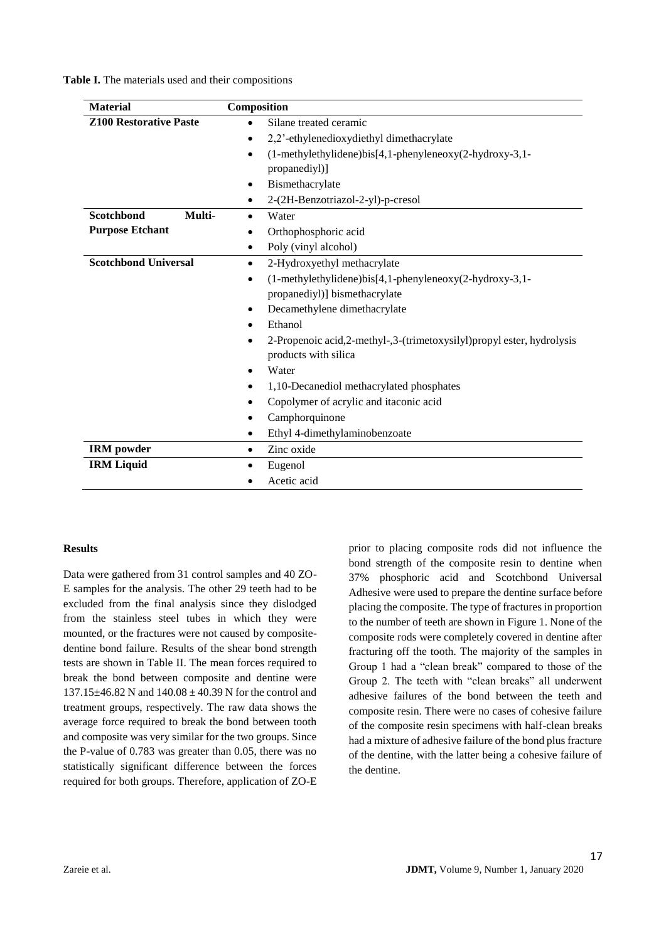**Table I.** The materials used and their compositions

| <b>Material</b>               | Composition                                                              |  |  |  |  |  |
|-------------------------------|--------------------------------------------------------------------------|--|--|--|--|--|
| <b>Z100 Restorative Paste</b> | Silane treated ceramic                                                   |  |  |  |  |  |
|                               | 2,2'-ethylenedioxydiethyl dimethacrylate<br>$\bullet$                    |  |  |  |  |  |
|                               | $(1-methylethy$ lidene)bis $[4,1-pheny$ leneoxy $(2-hydroxy-3,1-$        |  |  |  |  |  |
|                               | propanediyl)]                                                            |  |  |  |  |  |
|                               | Bismethacrylate<br>$\bullet$                                             |  |  |  |  |  |
|                               | 2-(2H-Benzotriazol-2-yl)-p-cresol                                        |  |  |  |  |  |
| <b>Scotchbond</b><br>Multi-   | Water<br>$\bullet$                                                       |  |  |  |  |  |
| <b>Purpose Etchant</b>        | Orthophosphoric acid<br>٠                                                |  |  |  |  |  |
|                               | Poly (vinyl alcohol)<br>٠                                                |  |  |  |  |  |
| <b>Scotchbond Universal</b>   | 2-Hydroxyethyl methacrylate<br>$\bullet$                                 |  |  |  |  |  |
|                               | $(1-methylethylidene)$ bis[4,1-phenyleneoxy $(2-hydroxy-3,1-d)$          |  |  |  |  |  |
|                               | propanediyl)] bismethacrylate                                            |  |  |  |  |  |
|                               | Decamethylene dimethacrylate<br>$\bullet$                                |  |  |  |  |  |
|                               | Ethanol<br>$\bullet$                                                     |  |  |  |  |  |
|                               | 2-Propenoic acid, 2-methyl-, 3-(trimetoxysilyl) propyl ester, hydrolysis |  |  |  |  |  |
|                               | products with silica                                                     |  |  |  |  |  |
|                               | Water                                                                    |  |  |  |  |  |
|                               | 1,10-Decanediol methacrylated phosphates<br>٠                            |  |  |  |  |  |
|                               | Copolymer of acrylic and itaconic acid                                   |  |  |  |  |  |
|                               | Camphorquinone                                                           |  |  |  |  |  |
|                               | Ethyl 4-dimethylaminobenzoate                                            |  |  |  |  |  |
| <b>IRM</b> powder             | Zinc oxide<br>$\bullet$                                                  |  |  |  |  |  |
| <b>IRM Liquid</b>             | Eugenol                                                                  |  |  |  |  |  |
|                               | Acetic acid                                                              |  |  |  |  |  |

#### **Results**

Data were gathered from 31 control samples and 40 ZO-E samples for the analysis. The other 29 teeth had to be excluded from the final analysis since they dislodged from the stainless steel tubes in which they were mounted, or the fractures were not caused by compositedentine bond failure. Results of the shear bond strength tests are shown in Table II. The mean forces required to break the bond between composite and dentine were  $137.15\pm46.82$  N and  $140.08\pm40.39$  N for the control and treatment groups, respectively. The raw data shows the average force required to break the bond between tooth and composite was very similar for the two groups. Since the P-value of 0.783 was greater than 0.05, there was no statistically significant difference between the forces required for both groups. Therefore, application of ZO-E prior to placing composite rods did not influence the bond strength of the composite resin to dentine when 37% phosphoric acid and Scotchbond Universal Adhesive were used to prepare the dentine surface before placing the composite. The type of fractures in proportion to the number of teeth are shown in Figure 1. None of the composite rods were completely covered in dentine after fracturing off the tooth. The majority of the samples in Group 1 had a "clean break" compared to those of the Group 2. The teeth with "clean breaks" all underwent adhesive failures of the bond between the teeth and composite resin. There were no cases of cohesive failure of the composite resin specimens with half-clean breaks had a mixture of adhesive failure of the bond plus fracture of the dentine, with the latter being a cohesive failure of the dentine.

17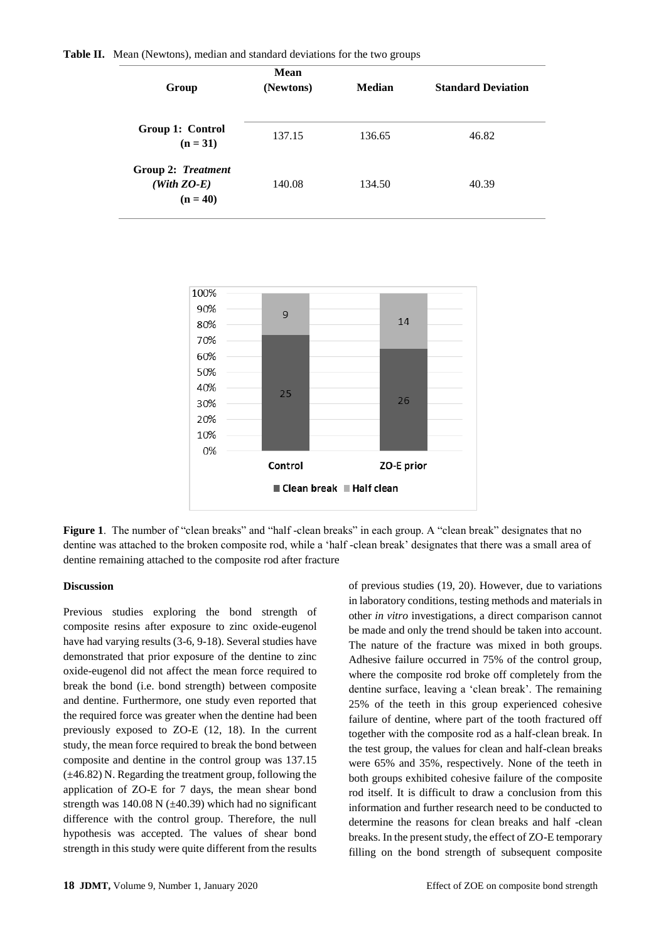|  |  |  | Table II. Mean (Newtons), median and standard deviations for the two groups |  |  |  |  |  |
|--|--|--|-----------------------------------------------------------------------------|--|--|--|--|--|
|--|--|--|-----------------------------------------------------------------------------|--|--|--|--|--|

| Group                                             | <b>Mean</b><br>(Newtons) | Median | <b>Standard Deviation</b> |  |  |
|---------------------------------------------------|--------------------------|--------|---------------------------|--|--|
| Group 1: Control<br>$(n = 31)$                    | 137.15                   | 136.65 | 46.82                     |  |  |
| Group 2: Treatment<br>$(With ZO-E)$<br>$(n = 40)$ | 140.08                   | 134.50 | 40.39                     |  |  |



**Figure 1.** The number of "clean breaks" and "half-clean breaks" in each group. A "clean break" designates that no dentine was attached to the broken composite rod, while a 'half -clean break' designates that there was a small area of dentine remaining attached to the composite rod after fracture

#### **Discussion**

Previous studies exploring the bond strength of composite resins after exposure to zinc oxide-eugenol have had varying results (3-6, 9-18). Several studies have demonstrated that prior exposure of the dentine to zinc oxide-eugenol did not affect the mean force required to break the bond (i.e. bond strength) between composite and dentine. Furthermore, one study even reported that the required force was greater when the dentine had been previously exposed to ZO-E (12, 18). In the current study, the mean force required to break the bond between composite and dentine in the control group was 137.15  $(\pm 46.82)$  N. Regarding the treatment group, following the application of ZO-E for 7 days, the mean shear bond strength was 140.08 N  $(\pm 40.39)$  which had no significant difference with the control group. Therefore, the null hypothesis was accepted. The values of shear bond strength in this study were quite different from the results

of previous studies (19, 20). However, due to variations in laboratory conditions, testing methods and materials in other *in vitro* investigations, a direct comparison cannot be made and only the trend should be taken into account. The nature of the fracture was mixed in both groups. Adhesive failure occurred in 75% of the control group, where the composite rod broke off completely from the dentine surface, leaving a 'clean break'. The remaining 25% of the teeth in this group experienced cohesive failure of dentine, where part of the tooth fractured off together with the composite rod as a half-clean break. In the test group, the values for clean and half-clean breaks were 65% and 35%, respectively. None of the teeth in both groups exhibited cohesive failure of the composite rod itself. It is difficult to draw a conclusion from this information and further research need to be conducted to determine the reasons for clean breaks and half -clean breaks. In the present study, the effect of ZO-E temporary filling on the bond strength of subsequent composite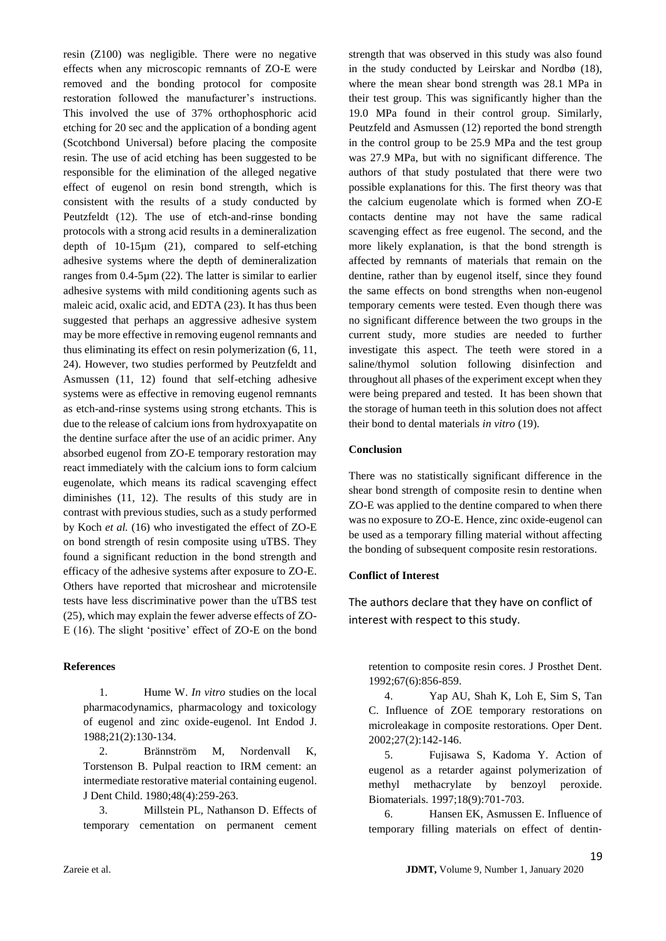resin (Z100) was negligible. There were no negative effects when any microscopic remnants of ZO-E were removed and the bonding protocol for composite restoration followed the manufacturer's instructions. This involved the use of 37% orthophosphoric acid etching for 20 sec and the application of a bonding agent (Scotchbond Universal) before placing the composite resin. The use of acid etching has been suggested to be responsible for the elimination of the alleged negative effect of eugenol on resin bond strength, which is consistent with the results of a study conducted by Peutzfeldt (12). The use of etch-and-rinse bonding protocols with a strong acid results in a demineralization depth of 10-15µm (21), compared to self-etching adhesive systems where the depth of demineralization ranges from 0.4-5µm (22). The latter is similar to earlier adhesive systems with mild conditioning agents such as maleic acid, oxalic acid, and EDTA (23). It has thus been suggested that perhaps an aggressive adhesive system may be more effective in removing eugenol remnants and thus eliminating its effect on resin polymerization (6, 11, 24). However, two studies performed by Peutzfeldt and Asmussen (11, 12) found that self-etching adhesive systems were as effective in removing eugenol remnants as etch-and-rinse systems using strong etchants. This is due to the release of calcium ions from hydroxyapatite on the dentine surface after the use of an acidic primer. Any absorbed eugenol from ZO-E temporary restoration may react immediately with the calcium ions to form calcium eugenolate, which means its radical scavenging effect diminishes (11, 12). The results of this study are in contrast with previous studies, such as a study performed by Koch *et al.* (16) who investigated the effect of ZO-E on bond strength of resin composite using uTBS. They found a significant reduction in the bond strength and efficacy of the adhesive systems after exposure to ZO-E. Others have reported that microshear and microtensile tests have less discriminative power than the uTBS test (25), which may explain the fewer adverse effects of ZO-E (16). The slight 'positive' effect of ZO-E on the bond

# **References**

1. Hume W. *In vitro* studies on the local pharmacodynamics, pharmacology and toxicology of eugenol and zinc oxide-eugenol. Int Endod J. 1988;21(2):130-134.

2. Brännström M, Nordenvall K, Torstenson B. Pulpal reaction to IRM cement: an intermediate restorative material containing eugenol. J Dent Child. 1980;48(4):259-263.

3. Millstein PL, Nathanson D. Effects of temporary cementation on permanent cement strength that was observed in this study was also found in the study conducted by Leirskar and Nordbø (18), where the mean shear bond strength was 28.1 MPa in their test group. This was significantly higher than the 19.0 MPa found in their control group. Similarly, Peutzfeld and Asmussen (12) reported the bond strength in the control group to be 25.9 MPa and the test group was 27.9 MPa, but with no significant difference. The authors of that study postulated that there were two possible explanations for this. The first theory was that the calcium eugenolate which is formed when ZO-E contacts dentine may not have the same radical scavenging effect as free eugenol. The second, and the more likely explanation, is that the bond strength is affected by remnants of materials that remain on the dentine, rather than by eugenol itself, since they found the same effects on bond strengths when non-eugenol temporary cements were tested. Even though there was no significant difference between the two groups in the current study, more studies are needed to further investigate this aspect. The teeth were stored in a saline/thymol solution following disinfection and throughout all phases of the experiment except when they were being prepared and tested. It has been shown that the storage of human teeth in this solution does not affect their bond to dental materials *in vitro* (19).

#### **Conclusion**

There was no statistically significant difference in the shear bond strength of composite resin to dentine when ZO-E was applied to the dentine compared to when there was no exposure to ZO-E. Hence, zinc oxide-eugenol can be used as a temporary filling material without affecting the bonding of subsequent composite resin restorations.

# **Conflict of Interest**

The authors declare that they have on conflict of interest with respect to this study.

retention to composite resin cores. J Prosthet Dent. 1992;67(6):856-859.

4. Yap AU, Shah K, Loh E, Sim S, Tan C. Influence of ZOE temporary restorations on microleakage in composite restorations. Oper Dent. 2002;27(2):142-146.

5. Fujisawa S, Kadoma Y. Action of eugenol as a retarder against polymerization of methyl methacrylate by benzoyl peroxide. Biomaterials. 1997;18(9):701-703.

6. Hansen EK, Asmussen E. Influence of temporary filling materials on effect of dentin‐

19